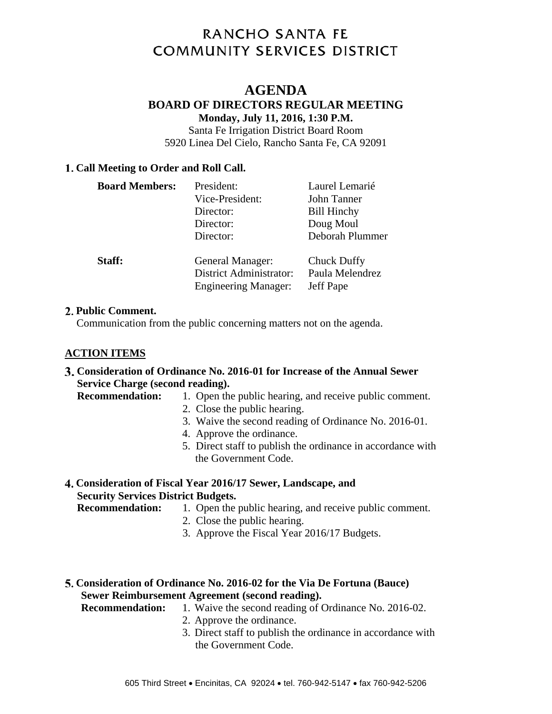# **RANCHO SANTA FE COMMUNITY SERVICES DISTRICT**

# **AGENDA BOARD OF DIRECTORS REGULAR MEETING Monday, July 11, 2016, 1:30 P.M.**

Santa Fe Irrigation District Board Room 5920 Linea Del Cielo, Rancho Santa Fe, CA 92091

## **Call Meeting to Order and Roll Call.**

| <b>Board Members:</b> | President:<br>Vice-President:<br>Director:<br>Director:<br>Director:              | Laurel Lemarié<br>John Tanner<br><b>Bill Hinchy</b><br>Doug Moul<br>Deborah Plummer |
|-----------------------|-----------------------------------------------------------------------------------|-------------------------------------------------------------------------------------|
| Staff:                | General Manager:<br><b>District Administrator:</b><br><b>Engineering Manager:</b> | <b>Chuck Duffy</b><br>Paula Melendrez<br>Jeff Pape                                  |

#### **Public Comment.**

Communication from the public concerning matters not on the agenda.

# **ACTION ITEMS**

## **Consideration of Ordinance No. 2016-01 for Increase of the Annual Sewer Service Charge (second reading).**

**Recommendation:** 1. Open the public hearing, and receive public comment.

- 2. Close the public hearing.
- 3. Waive the second reading of Ordinance No. 2016-01.
- 4. Approve the ordinance.
- 5. Direct staff to publish the ordinance in accordance with the Government Code.

## **Consideration of Fiscal Year 2016/17 Sewer, Landscape, and Security Services District Budgets.**

- **Recommendation:** 1. Open the public hearing, and receive public comment.
	- 2. Close the public hearing.
	- 3. Approve the Fiscal Year 2016/17 Budgets.

## **Consideration of Ordinance No. 2016-02 for the Via De Fortuna (Bauce) Sewer Reimbursement Agreement (second reading).**

- **Recommendation:** 1. Waive the second reading of Ordinance No. 2016-02.
	- 2. Approve the ordinance.
		- 3. Direct staff to publish the ordinance in accordance with the Government Code.